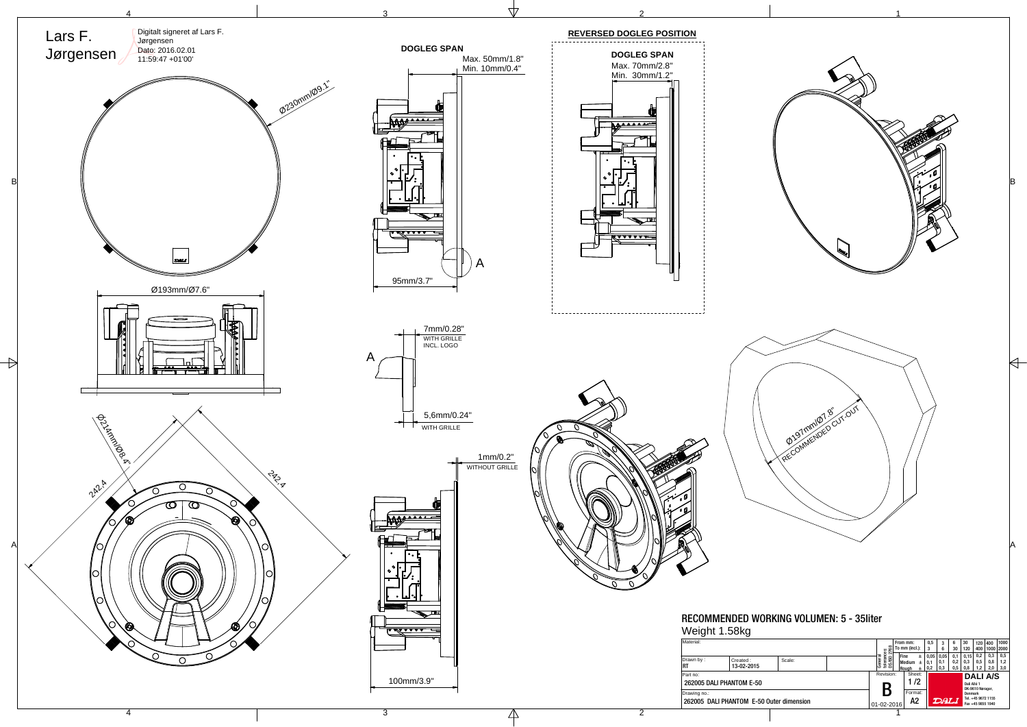